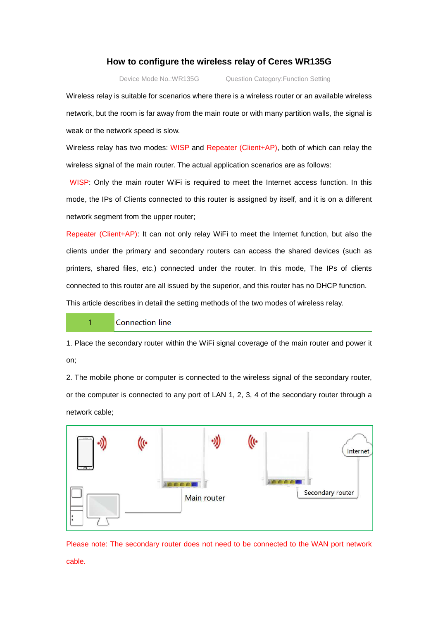## **How to configure the wireless relay of Ceres WR135G**

Device Mode No.:WR135G Question Category:Function Setting

Wireless relay is suitable for scenarios where there is a wireless router or an available wireless network, but the room is far away from the main route or with many partition walls, the signal is weak or the network speed is slow.

Wireless relay has two modes: WISP and Repeater (Client+AP), both of which can relay the wireless signal of the main router. The actual application scenarios are as follows:

 WISP: Only the main router WiFi is required to meet the Internet access function. In this mode, the IPs of Clients connected to this router is assigned by itself, and it is on a different network segment from the upper router;

Repeater (Client+AP): It can not only relay WiFi to meet the Internet function, but also the clients under the primary and secondary routers can access the shared devices (such as printers, shared files, etc.) connected under the router. In this mode, The IPs of clients connected to this router are all issued by the superior, and this router has no DHCP function. This article describes in detail the setting methods of the two modes of wireless relay.

## Connection line

 $\overline{1}$ 

1. Place the secondary router within the WiFi signal coverage of the main router and power it on;

2. The mobile phone or computer is connected to the wireless signal of the secondary router, or the computer is connected to any port of LAN 1, 2, 3, 4 of the secondary router through a network cable;



Please note: The secondary router does not need to be connected to the WAN port network cable.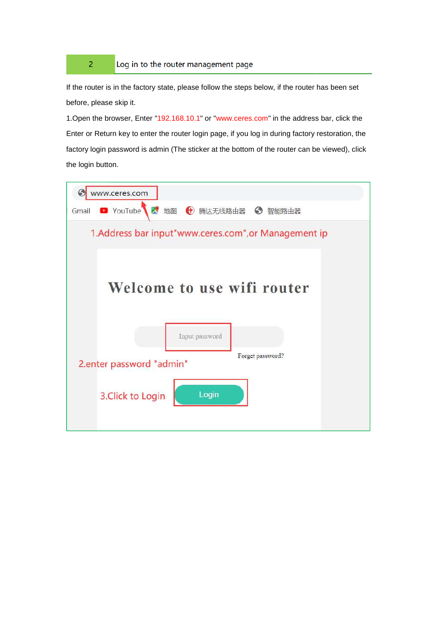## Log in to the router management page

 $\overline{2}$ 

If the router is in the factory state, please follow the steps below, if the router has been set before, please skip it.

1. Open the browser, Enter "192.168.10.1" or "www.ceres.com" in the address bar, click the Enter or Return key to enter the router login page, if you log in during factory restoration, the 1.Open the browser, Enter "192.168.10.1" or "www.ceres.com" in the address bar, click the<br>Enter or Return key to enter the router login page, if you log in during factory restoration, the<br>factory login password is admin (T the login button.

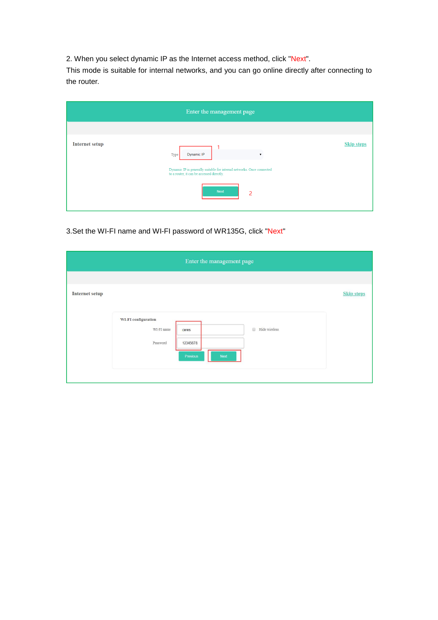2. When you select dynamic IP as the Internet access method, click "Next".

This mode is suitable for internal networks, and you can go online directly after connecting to the router.

| Enter the management page |                                                                                                                     |                   |  |  |  |
|---------------------------|---------------------------------------------------------------------------------------------------------------------|-------------------|--|--|--|
| Internet setup            | Dynamic IP<br>Type                                                                                                  | <b>Skip steps</b> |  |  |  |
|                           | Dynamic IP is generally suitable for internal networks. Once connected<br>to a router, it can be accessed directly. |                   |  |  |  |
|                           | <b>Next</b><br>$\overline{c}$                                                                                       |                   |  |  |  |

3.Set the WI-FI name and WI-FI password of WR135G, click "Next"

| Enter the management page |                                               |                                       |               |                   |  |
|---------------------------|-----------------------------------------------|---------------------------------------|---------------|-------------------|--|
|                           |                                               |                                       |               |                   |  |
| Internet setup            |                                               |                                       |               | <b>Skip steps</b> |  |
|                           | WI-FI configuration<br>WI-FI name<br>Password | ceres<br>12345678<br>Next<br>Previous | Hide wireless |                   |  |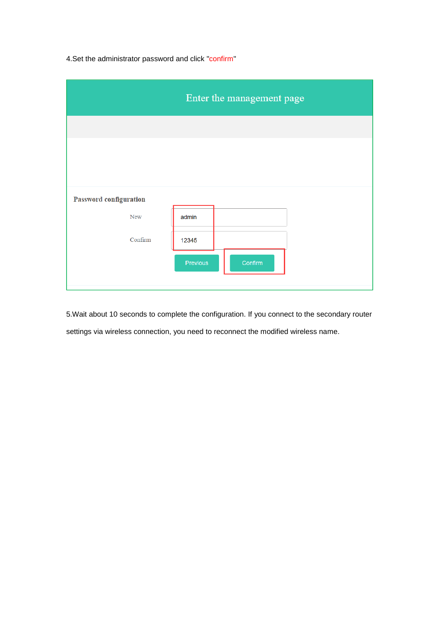4.Set the administrator password and click "confirm"

|                                             | Enter the management page |
|---------------------------------------------|---------------------------|
|                                             |                           |
|                                             |                           |
|                                             |                           |
| <b>Password configuration</b><br><b>New</b> | admin                     |
| Confirm                                     | 12345                     |
|                                             | Confirm<br>Previous       |
|                                             |                           |

5.Wait about 10 seconds to complete the configuration. If you connect to the secondary router settings via wireless connection, you need to reconnect the modified wireless name.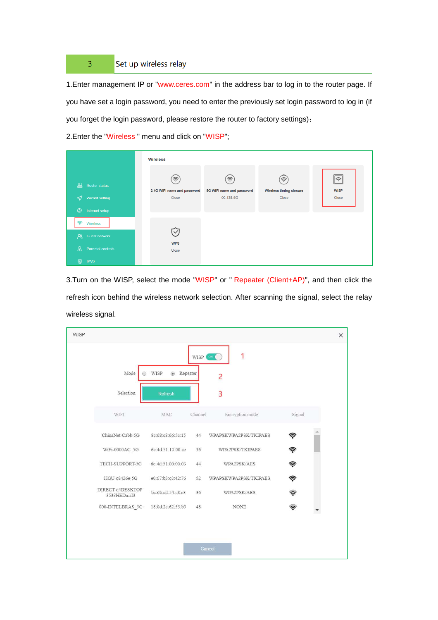## Set up wireless relay  $\overline{3}$

1.Enter management IP or "www.ceres.com" in the address bar to log in to the router page. If you have set a login password, you need to enter the previously set login password to log in (if you forget the login password, please restore the router to factory settings);

2.Enter the "Wireless " menu and click on "WISP";

|                                                                | <b>Wireless</b>                           |                                                                   |                                       |                                      |  |  |
|----------------------------------------------------------------|-------------------------------------------|-------------------------------------------------------------------|---------------------------------------|--------------------------------------|--|--|
| Щ<br><b>Router status</b><br>Wizard setting<br>$\triangleleft$ | 佘<br>2.4G WIFI name and password<br>Close | $\widehat{\mathcal{P}}$<br>5G WIFI name and password<br>00-138-5G | ミ<br>Wireless timing closure<br>Close | $\hat{\tau}$<br><b>WISP</b><br>Close |  |  |
| $\circledcirc$<br>Internet setup                               |                                           |                                                                   |                                       |                                      |  |  |
| きんじょう マンチャン<br>Wireless                                        |                                           |                                                                   |                                       |                                      |  |  |
| Guest network<br>$\mathcal{R}$                                 | $\vee$                                    |                                                                   |                                       |                                      |  |  |
| ்<br>Parental controls                                         | <b>WPS</b><br>Close                       |                                                                   |                                       |                                      |  |  |
| ⋒<br>IPV6                                                      |                                           |                                                                   |                                       |                                      |  |  |

3.Turn on the WISP, select the mode "WISP" or " Repeater (Client+AP)", and then click the refresh icon behind the wireless network selection. After scanning the signal, select the relay wireless signal.

| <b>WISP</b> |                                  |                    |         |                       |                  | $\times$ |
|-------------|----------------------------------|--------------------|---------|-----------------------|------------------|----------|
|             |                                  |                    | WISP (  | 1<br>$_{\rm ON}$      |                  |          |
|             | Mode                             | WISP<br>· Repeater |         | 2                     |                  |          |
|             | Selection                        | <b>Refresh</b>     |         | 3                     |                  |          |
|             | WIFI                             | MAC                | Channel | Encryption mode       | Signal           |          |
|             | ChinaNet-Czbb-5G                 | 8c:68:c8:66:5c:15  | 44      | WPAPSKWPA2PSK/TKIPAES | ຈີ               |          |
|             | WiFi-0000AC 5G                   | 6e:4d:51:10:00:ae  | 36      | WPA2PSK/TKIPAES       | 常                |          |
|             | TECH-SUPPORT-5G                  | 6c:4d:51:00:00:03  | 44      | WPA2PSK/AES           | 常                |          |
|             | HGU-c8426e-5G                    | e0:67:b3:c8:42:76  | 52      | WPAPSKWPA2PSK/TKIPAES | 常                |          |
|             | DIRECT-q4DESKTOP-<br>3533HEDmsI3 | ba:6b:ad:54:c8:e3  | 36      | WPA2PSK/AES           | ক                |          |
|             | 000-INTELBRAS_5G                 | 18:0d:2c:62:55:b5  | 48      | <b>NONE</b>           | $\widehat{\tau}$ |          |
|             |                                  |                    |         |                       |                  |          |
|             |                                  |                    |         |                       |                  |          |
|             |                                  |                    |         | Cancel                |                  |          |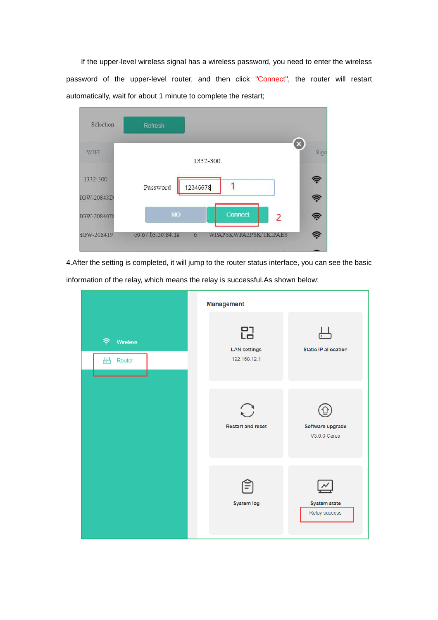If the upper-level wireless signal has a wireless password, you need to enter the wireless password of the upper-level router, and then click "Connect", the router will restart automatically, wait for about 1 minute to complete the restart;



4.After the setting is completed, it will jump to the router status interface, you can see the basic

information of the relay, which means the relay is successful.As shown below:

|                                     | Management                               |                                      |
|-------------------------------------|------------------------------------------|--------------------------------------|
| ら<br><b>Wireless</b><br>出<br>Router | 品<br><b>LAN</b> settings<br>192.168.12.1 | <b>Static IP allocation</b>          |
|                                     | $\bigcirc$<br><b>Restart and reset</b>   | Software upgrade<br>$V3.0.0$ -Ceres  |
|                                     | <b>System log</b>                        | <b>System state</b><br>Relay success |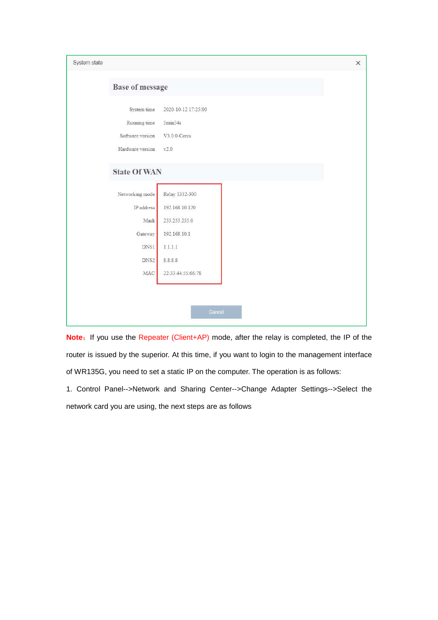| System state |                        |                     | $\times$ |
|--------------|------------------------|---------------------|----------|
|              | <b>Base of message</b> |                     |          |
|              | System time            | 2020-10-12 17:25:00 |          |
|              | Running time           | 5min54s             |          |
|              | Software version       | V3.0.0-Ceres        |          |
|              | Hardware version       | v2.0                |          |
|              | <b>State Of WAN</b>    |                     |          |
|              | Networking mode        | Relay 1332-300      |          |
|              | IP address             | 192.168.10.120      |          |
|              | Mask                   | 255.255.255.0       |          |
|              | Gateway                | 192.168.10.1        |          |
|              | DNS1                   | 1.1.1.1             |          |
|              | DNS <sub>2</sub>       | 8.8.8.8             |          |
|              | MAC                    | 22:33:44:55:66:78   |          |
|              |                        |                     |          |
|              |                        |                     |          |
|              |                        | Cancel              |          |
|              |                        |                     |          |

Note: If you use the Repeater (Client+AP) mode, after the relay is completed, the IP of the router is issued by the superior. At this time, if you want to login to the management interface of WR135G, you need to set a static IP on the computer. The operation is as follows:

1. Control Panel-->Network and Sharing Center-->Change Adapter Settings-->Select the network card you are using, the next steps are as follows